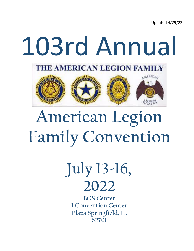Updated 4/29/22



# **American Legion Family Convention**

**July 13-16, 2022**

**BOS Center 1 Convention Center Plaza Springfield, IL 62701**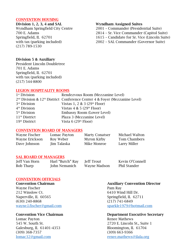### CONVENTION HOUSING

(217) 789-1530

### Division 1, 2, 3, 4 and SAL Wyndham Assigned Suites

Wyndham Springfield City Centre 2001 – Commander (Presidential Suite)

- 700 E. Adams 2814 Sr. Vice Commander (Capitol Suite)
- Springfield, IL 62701 1615 Candidate for Sr. Vice (Lincoln Suite)

with tax (parking included) 2002 - SAL Commander (Governor Suite)

### Division 5 & Auxiliary

President Lincoln Doubletree 701 E. Adams Springfield, IL 62701 with tax (parking included) (217) 544-8800

### LEGION HOSPITALITY ROOMS

| 1 <sup>st</sup> Division  | Rendezvous Room (Mezzanine Level)                                            |
|---------------------------|------------------------------------------------------------------------------|
|                           | $2nd Division & 12th District Conference Center 4 & Foyer (Mezzanine Level)$ |
| $3rd$ Division            | Vistas 1, 2 & 3 $(29th$ Floor)                                               |
| 4 <sup>th</sup> Division  | Vistas $4 & 5 (29th Floor)$                                                  |
| 5 <sup>th</sup> Division  | Embassy Room (Lower Level)                                                   |
| 11 <sup>th</sup> District | Plaza 3 (Mezzanine Level)                                                    |
| 19 <sup>th</sup> District | Vista $6(29th Floor)$                                                        |
|                           |                                                                              |

### CONVENTION BOARD OF MANAGERS

| Wayne Fischer  | Lomac Payton | <b>Marty Conatser</b> | Michael Walton      |
|----------------|--------------|-----------------------|---------------------|
| Wayne Erickson | Roy Weber    | Myron Kirby           | <b>Tom Chambers</b> |
| Dave Johnson   | Jim Talaska  | Mike Monroe           | Larry Miller        |

### SAL BOARD OF MANAGERS

Bob Tharp John Nemanich Wayne Madson Phil Stander

Jeff Van Horn Harl "Butch" Ray Jeff Trout Kevin O'Connell

### CONVENTION OFFICIALS

Wayne Fischer **Pam Ray** 212 Winslow Ct. 6410 Wind Hill Dr. Naperville, IL 60565 Springfield, IL 62711 (630) 240-8868 (217) 741-6849

Lomac Payton **Renee Mathews** Galesburg, IL 61401-4353 Bloomington, IL 61704 (309) 368-7357 (309) 663-9366 [lomac32@gmail.com](mailto:lomac32@gmail.com) [renee.mathews@ilala.org](mailto:renee.mathews@ilala.org)

# Convention Chairman **Auxiliary Convention Director**

wayne.l.fischer@gmail.com sparkle1979@hotmail.com

### Convention Vice Chairman Department Executive Secretary

545 W. South St. 2720 E. Lincoln St., Suite 1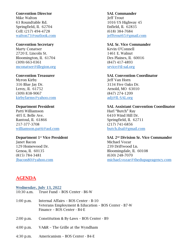### Convention Director SAL Commander

Mike Walton **Jeff Trout** 63 Roundtable Rd. 1016 US Highway 45 Springfield, IL 62704 Enfield, IL 62835 Cell: (217) 494-4728 (618) 384-7684 walton73@outlook.com is a jefftrout65@gmail.com in the set of the set of the set of the set of the set of the set of the set of the set of the set of the set of the set of the set of the set of the set of the set of the se

Marty Conatser **Kevin O'Connell** 2720 E. Lincoln St. 1461 E. Walnut Bloomington, IL 61704 Des Plaines, IL 60016 (309) 663-0361 (847) 417-4893 [mconatser@illegion.org](mailto:mconatser@illegion.org) [srvice@il-sal.org](mailto:srvice@il-sal.org)

Myron Kirby Jeff Van Horn 316 Blue Jay Dr. 3134 Five Oaks Dr. Leroy, IL 61752 Arnold, MO 63010 (309) 838-9067 (847) 274-1209 [kirbyfarms@yahoo.com](mailto:kirbyfarms@yahoo.com) [adj@IL-SAL.org](mailto:adj@IL-SAL.org)

Patti Williamson Harl "Butch" Ray 405 E. Belle Ave. 6410 Wind Hill Dr. Rantoul, IL 61866 Springfield, IL 62711 217-377-3708 (217) 741-6856 williamson.patti@aol.com butch.ilsal@gmail.com

**Janet Bacon** Michael Vozar 129 Homewood Dr. 239 Driftwood Ln. (815) 784-3481 (630) 248-7070

### Convention Secretary SAL Sr. Vice Commander

### Convention Treasurer SAL Convention Coordinator

### Department President SAL Assistant Convention Coordinator

### Department 1<sup>st</sup> Vice President SAL 2<sup>nd</sup> Division Sr. Vice Commander

Genoa, IL 60135 Bloomingdale, IL 60108 Jbacon80@yahoo.com [michael.vozar@thedupageagency.com](mailto:michael.vozar@thedupageagency.com)

### AGENDA

## Wednesday, July 13, 2022 10:30 a.m. Trust Fund – BOS Center - B6-W

1:00 p.m. Internal Affairs – BOS Center - B-10 Veterans Employment & Education – BOS Center - B7-W Finance – BOS Center - B4-E

- 2:00 p.m. Constitution & By-Laws BOS Center B9
- 4:00 p.m. VA&R The Grille at the Wyndham
- 4:30 p.m. Americanism BOS Center B4-E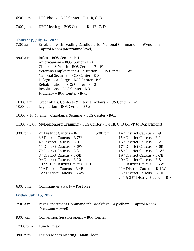6:30 p.m. DEC Photo – BOS Center – B-11B, C, D

7:00 p.m. DEC Meeting – BOS Center – B-11B, C, D

Thursday, July 14, 2022

- 7:30 a.m. Breakfast with Leading Candidate for National Commander Wyndham Capitol Room (Mezzanine level)
- 9:00 a.m. Rules BOS Center B-1 Americanism – BOS Center - B -4E Children & Youth – BOS Center - B-4W Veterans Employment & Education – BOS Center - B-6W National Security – BOS Center - B-8 Delegates-at-Large – BOS Center - B-9 Rehabilitation – BOS Center - B-10 Resolutions – BOS Center - B-3 Judiciary – BOS Center - B-7E
- 10:00 a.m. Credentials, Contests & Internal Affairs BOS Center B-2
- 10:00 a.m. Legislation BOS Center B7W
- 10:00 10:45 a.m. Chaplain's Seminar BOS Center B-6E
- 11:00 2:00 MyLegion.org Training BOS Center B-11B, C, D (RSVP to Department)

3:00 p.m. 2<sup>nd</sup> District Caucus - B-7E 5:00 p.m.  $14<sup>th</sup>$  District Caucus – B-9 3rd District Caucus - B-7W  $15<sup>th</sup>$  District Caucus – B-1  $4<sup>th</sup>$  District Caucus - B-9  $16<sup>th</sup>$  District Caucus – B-2 5<sup>th</sup> District Caucus - B-6W 17<sup>th</sup> District Caucus – B-6E  $7<sup>th</sup>$  District Caucus - B-3  $18<sup>th</sup>$  District Caucus – B-6W 8<sup>th</sup> District Caucus - B-6E 19<sup>th</sup> District Caucus – B-7E  $9<sup>th</sup>$  District Caucus - B-10  $20<sup>th</sup>$  District Caucus – B-8  $10<sup>th</sup>$  &  $13<sup>th</sup>$  District Caucus – B-1 21<sup>st</sup> District Caucus – B-7W 11th District Caucus – B-4E 22nd District Caucus – B-4 W 12th District Caucus – B-4W 23rd District Caucus – B-10  $24<sup>th</sup>$  &  $25<sup>th</sup>$  District Caucus – B-3

6:00 p.m. Commander's Party – Post #32

### Friday, July 15, 2022

- 7:30 a.m. Past Department Commander's Breakfast Wyndham Capitol Room (Mezzanine level)
- 9:00 a.m. Convention Session opens BOS Center
- 12:00 p.m. Lunch Break
- 3:00 p.m. Legion Riders Meeting Main Floor